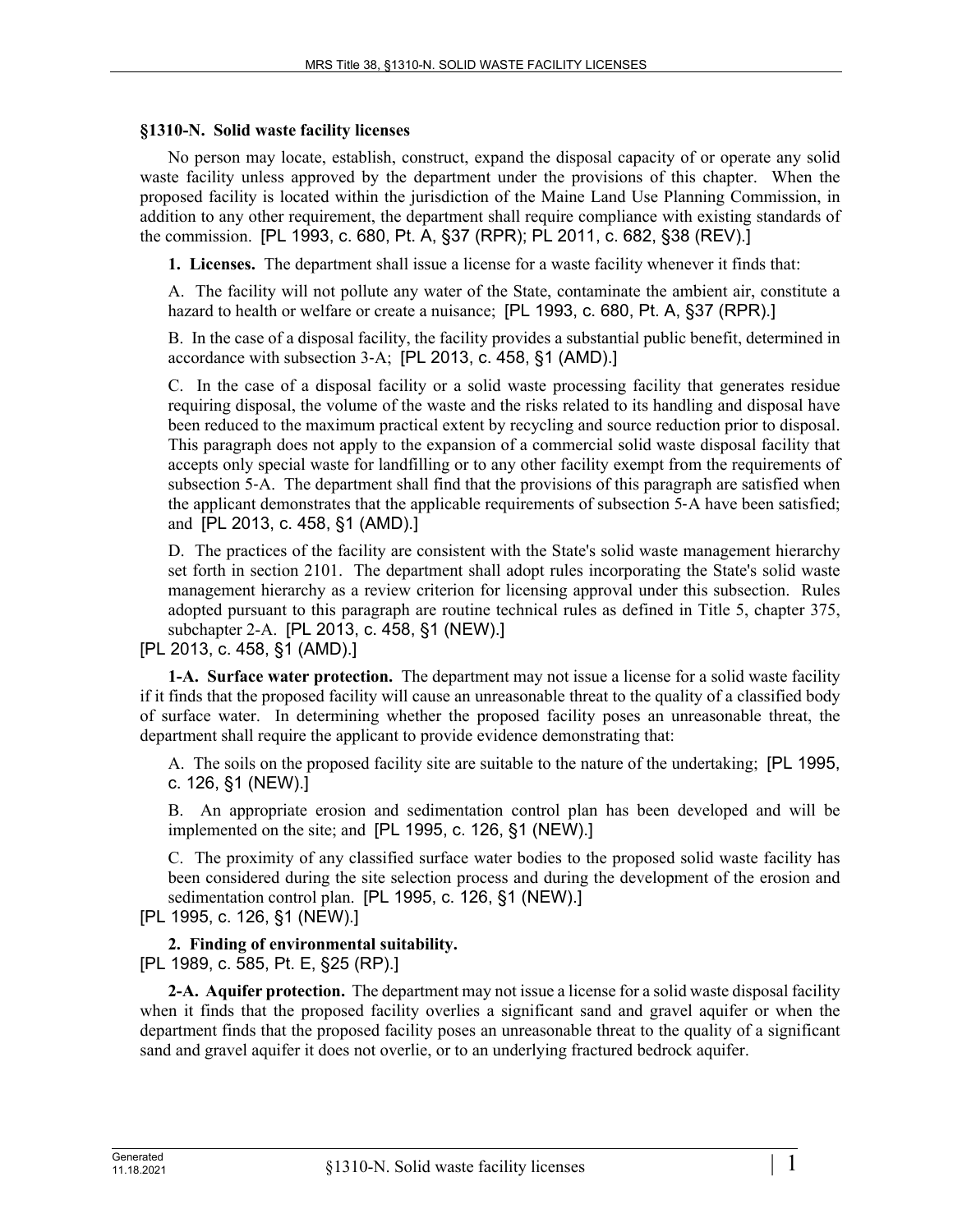#### **§1310-N. Solid waste facility licenses**

No person may locate, establish, construct, expand the disposal capacity of or operate any solid waste facility unless approved by the department under the provisions of this chapter. When the proposed facility is located within the jurisdiction of the Maine Land Use Planning Commission, in addition to any other requirement, the department shall require compliance with existing standards of the commission. [PL 1993, c. 680, Pt. A, §37 (RPR); PL 2011, c. 682, §38 (REV).]

**1. Licenses.** The department shall issue a license for a waste facility whenever it finds that:

A. The facility will not pollute any water of the State, contaminate the ambient air, constitute a hazard to health or welfare or create a nuisance; [PL 1993, c. 680, Pt. A, §37 (RPR).]

B. In the case of a disposal facility, the facility provides a substantial public benefit, determined in accordance with subsection 3‑A; [PL 2013, c. 458, §1 (AMD).]

C. In the case of a disposal facility or a solid waste processing facility that generates residue requiring disposal, the volume of the waste and the risks related to its handling and disposal have been reduced to the maximum practical extent by recycling and source reduction prior to disposal. This paragraph does not apply to the expansion of a commercial solid waste disposal facility that accepts only special waste for landfilling or to any other facility exempt from the requirements of subsection 5–A. The department shall find that the provisions of this paragraph are satisfied when the applicant demonstrates that the applicable requirements of subsection 5‑A have been satisfied; and [PL 2013, c. 458, §1 (AMD).]

D. The practices of the facility are consistent with the State's solid waste management hierarchy set forth in section 2101. The department shall adopt rules incorporating the State's solid waste management hierarchy as a review criterion for licensing approval under this subsection. Rules adopted pursuant to this paragraph are routine technical rules as defined in Title 5, chapter 375, subchapter 2-A. [PL 2013, c. 458, §1 (NEW).]

[PL 2013, c. 458, §1 (AMD).]

**1-A. Surface water protection.** The department may not issue a license for a solid waste facility if it finds that the proposed facility will cause an unreasonable threat to the quality of a classified body of surface water. In determining whether the proposed facility poses an unreasonable threat, the department shall require the applicant to provide evidence demonstrating that:

A. The soils on the proposed facility site are suitable to the nature of the undertaking; [PL 1995, c. 126, §1 (NEW).]

B. An appropriate erosion and sedimentation control plan has been developed and will be implemented on the site; and [PL 1995, c. 126, §1 (NEW).]

C. The proximity of any classified surface water bodies to the proposed solid waste facility has been considered during the site selection process and during the development of the erosion and sedimentation control plan. [PL 1995, c. 126, §1 (NEW).]

[PL 1995, c. 126, §1 (NEW).]

#### **2. Finding of environmental suitability.**  [PL 1989, c. 585, Pt. E, §25 (RP).]

**2-A. Aquifer protection.** The department may not issue a license for a solid waste disposal facility when it finds that the proposed facility overlies a significant sand and gravel aquifer or when the department finds that the proposed facility poses an unreasonable threat to the quality of a significant sand and gravel aquifer it does not overlie, or to an underlying fractured bedrock aquifer.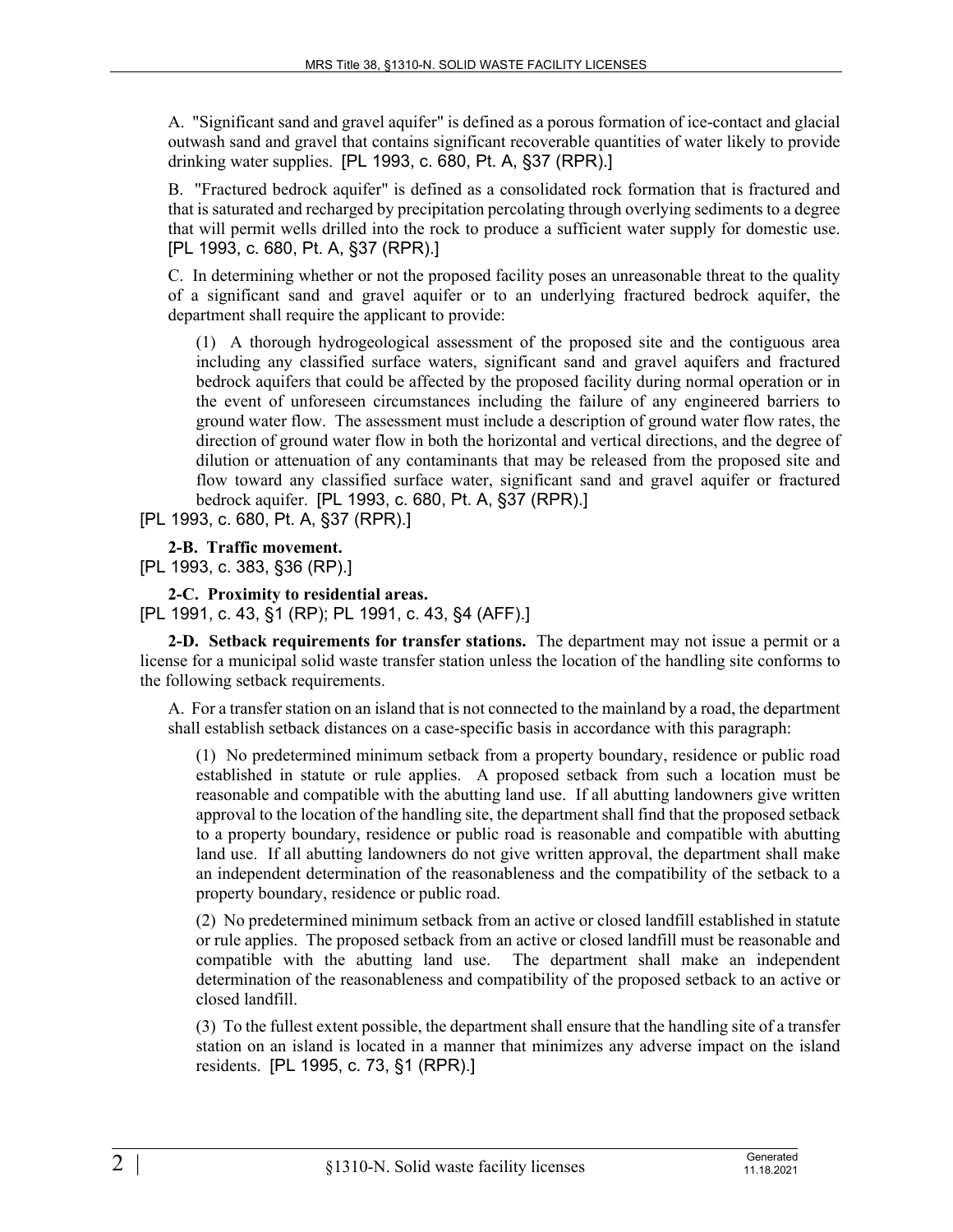A. "Significant sand and gravel aquifer" is defined as a porous formation of ice-contact and glacial outwash sand and gravel that contains significant recoverable quantities of water likely to provide drinking water supplies. [PL 1993, c. 680, Pt. A, §37 (RPR).]

B. "Fractured bedrock aquifer" is defined as a consolidated rock formation that is fractured and that is saturated and recharged by precipitation percolating through overlying sediments to a degree that will permit wells drilled into the rock to produce a sufficient water supply for domestic use. [PL 1993, c. 680, Pt. A, §37 (RPR).]

C. In determining whether or not the proposed facility poses an unreasonable threat to the quality of a significant sand and gravel aquifer or to an underlying fractured bedrock aquifer, the department shall require the applicant to provide:

(1) A thorough hydrogeological assessment of the proposed site and the contiguous area including any classified surface waters, significant sand and gravel aquifers and fractured bedrock aquifers that could be affected by the proposed facility during normal operation or in the event of unforeseen circumstances including the failure of any engineered barriers to ground water flow. The assessment must include a description of ground water flow rates, the direction of ground water flow in both the horizontal and vertical directions, and the degree of dilution or attenuation of any contaminants that may be released from the proposed site and flow toward any classified surface water, significant sand and gravel aquifer or fractured bedrock aquifer. [PL 1993, c. 680, Pt. A, §37 (RPR).]

[PL 1993, c. 680, Pt. A, §37 (RPR).]

**2-B. Traffic movement.** 

[PL 1993, c. 383, §36 (RP).]

**2-C. Proximity to residential areas.** 

[PL 1991, c. 43, §1 (RP); PL 1991, c. 43, §4 (AFF).]

**2-D. Setback requirements for transfer stations.** The department may not issue a permit or a license for a municipal solid waste transfer station unless the location of the handling site conforms to the following setback requirements.

A. For a transfer station on an island that is not connected to the mainland by a road, the department shall establish setback distances on a case-specific basis in accordance with this paragraph:

(1) No predetermined minimum setback from a property boundary, residence or public road established in statute or rule applies. A proposed setback from such a location must be reasonable and compatible with the abutting land use. If all abutting landowners give written approval to the location of the handling site, the department shall find that the proposed setback to a property boundary, residence or public road is reasonable and compatible with abutting land use. If all abutting landowners do not give written approval, the department shall make an independent determination of the reasonableness and the compatibility of the setback to a property boundary, residence or public road.

(2) No predetermined minimum setback from an active or closed landfill established in statute or rule applies. The proposed setback from an active or closed landfill must be reasonable and compatible with the abutting land use. The department shall make an independent determination of the reasonableness and compatibility of the proposed setback to an active or closed landfill.

(3) To the fullest extent possible, the department shall ensure that the handling site of a transfer station on an island is located in a manner that minimizes any adverse impact on the island residents. [PL 1995, c. 73, §1 (RPR).]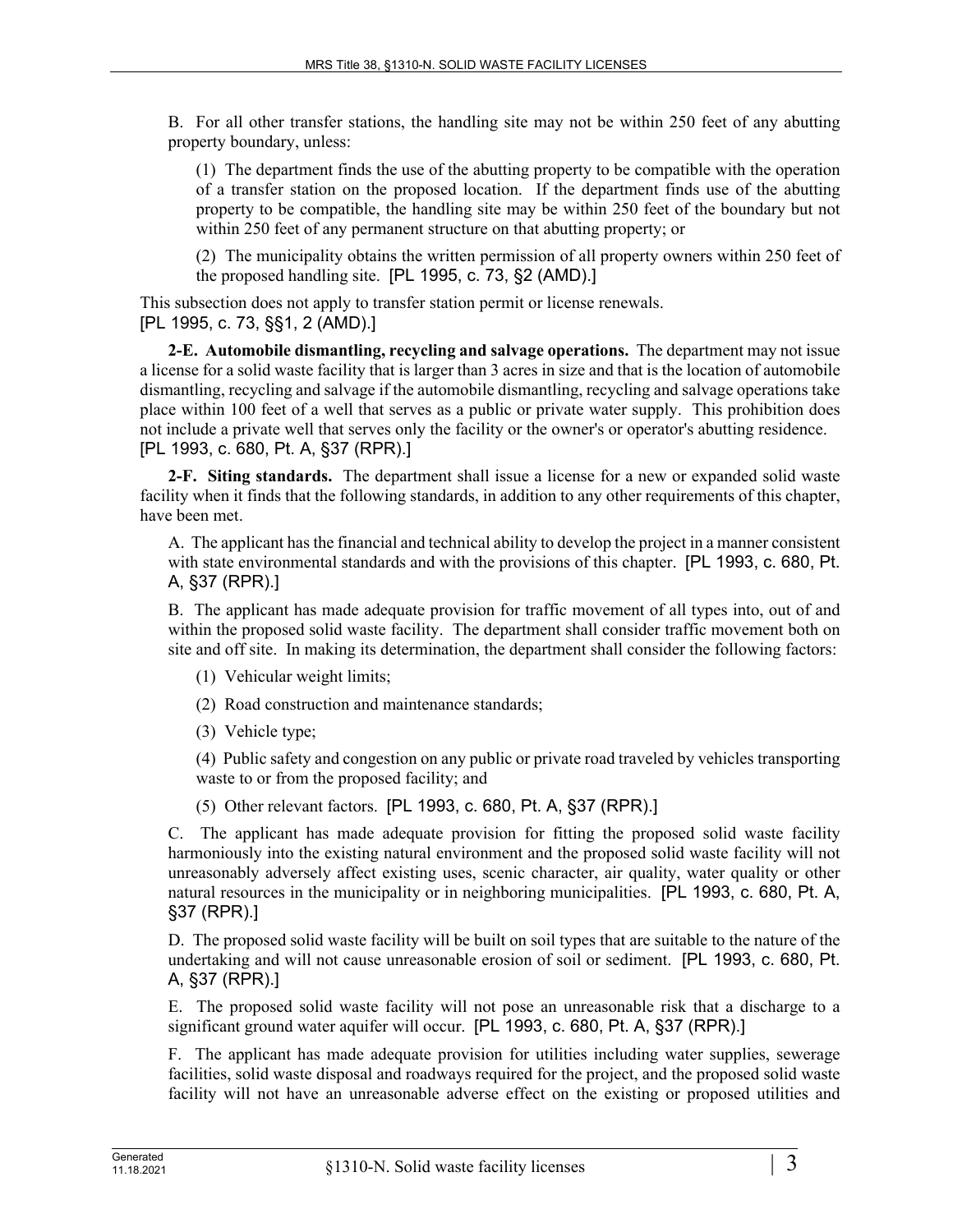B. For all other transfer stations, the handling site may not be within 250 feet of any abutting property boundary, unless:

(1) The department finds the use of the abutting property to be compatible with the operation of a transfer station on the proposed location. If the department finds use of the abutting property to be compatible, the handling site may be within 250 feet of the boundary but not within 250 feet of any permanent structure on that abutting property; or

(2) The municipality obtains the written permission of all property owners within 250 feet of the proposed handling site. [PL 1995, c. 73, §2 (AMD).]

This subsection does not apply to transfer station permit or license renewals. [PL 1995, c. 73, §§1, 2 (AMD).]

**2-E. Automobile dismantling, recycling and salvage operations.** The department may not issue a license for a solid waste facility that is larger than 3 acres in size and that is the location of automobile dismantling, recycling and salvage if the automobile dismantling, recycling and salvage operations take place within 100 feet of a well that serves as a public or private water supply. This prohibition does not include a private well that serves only the facility or the owner's or operator's abutting residence. [PL 1993, c. 680, Pt. A, §37 (RPR).]

**2-F. Siting standards.** The department shall issue a license for a new or expanded solid waste facility when it finds that the following standards, in addition to any other requirements of this chapter, have been met.

A. The applicant has the financial and technical ability to develop the project in a manner consistent with state environmental standards and with the provisions of this chapter. [PL 1993, c. 680, Pt. A, §37 (RPR).]

B. The applicant has made adequate provision for traffic movement of all types into, out of and within the proposed solid waste facility. The department shall consider traffic movement both on site and off site. In making its determination, the department shall consider the following factors:

(1) Vehicular weight limits;

(2) Road construction and maintenance standards;

(3) Vehicle type;

(4) Public safety and congestion on any public or private road traveled by vehicles transporting waste to or from the proposed facility; and

(5) Other relevant factors. [PL 1993, c. 680, Pt. A, §37 (RPR).]

C. The applicant has made adequate provision for fitting the proposed solid waste facility harmoniously into the existing natural environment and the proposed solid waste facility will not unreasonably adversely affect existing uses, scenic character, air quality, water quality or other natural resources in the municipality or in neighboring municipalities. [PL 1993, c. 680, Pt. A, §37 (RPR).]

D. The proposed solid waste facility will be built on soil types that are suitable to the nature of the undertaking and will not cause unreasonable erosion of soil or sediment. [PL 1993, c. 680, Pt. A, §37 (RPR).]

E. The proposed solid waste facility will not pose an unreasonable risk that a discharge to a significant ground water aquifer will occur. [PL 1993, c. 680, Pt. A, §37 (RPR).]

F. The applicant has made adequate provision for utilities including water supplies, sewerage facilities, solid waste disposal and roadways required for the project, and the proposed solid waste facility will not have an unreasonable adverse effect on the existing or proposed utilities and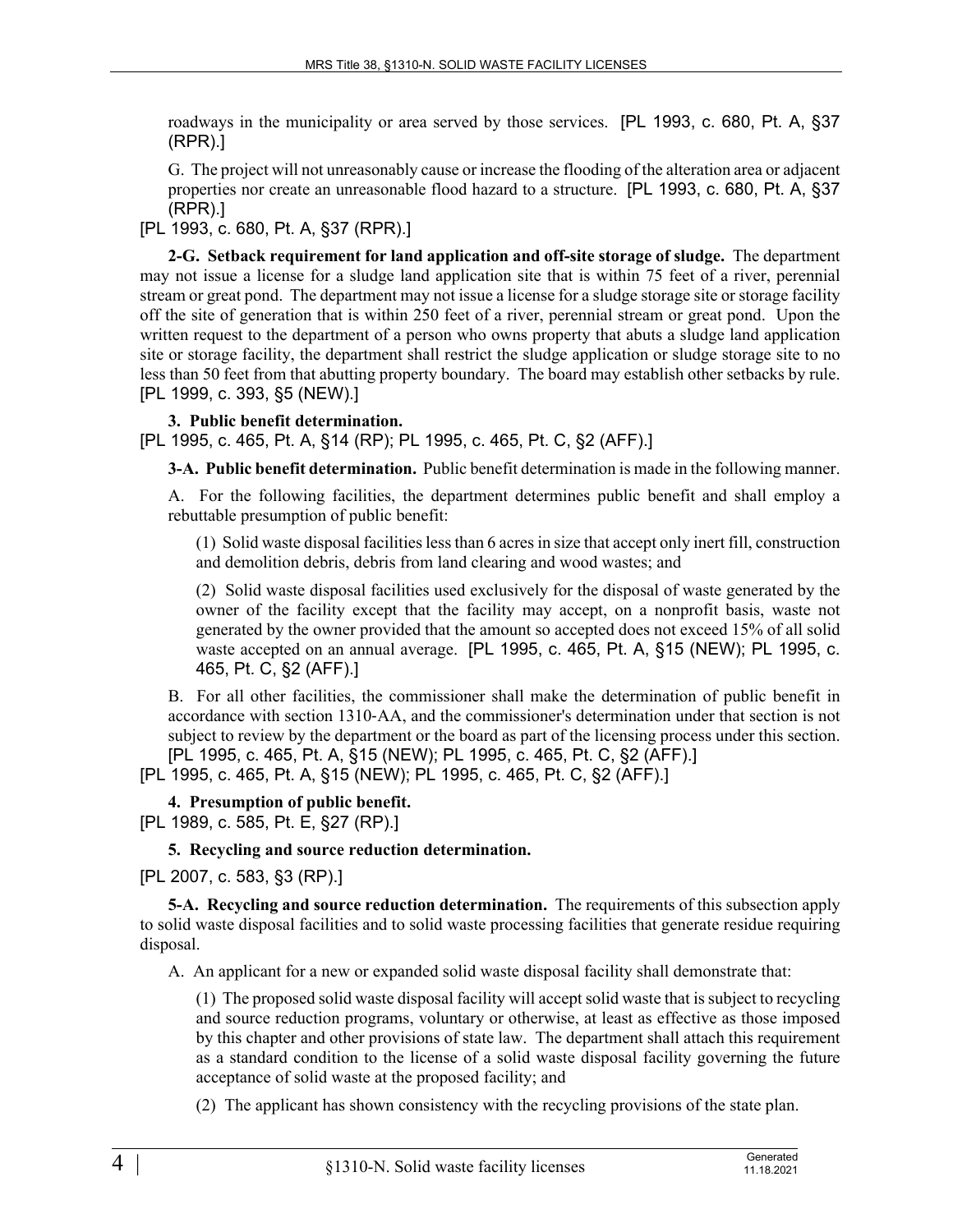roadways in the municipality or area served by those services. [PL 1993, c. 680, Pt. A, §37 (RPR).]

G. The project will not unreasonably cause or increase the flooding of the alteration area or adjacent properties nor create an unreasonable flood hazard to a structure. [PL 1993, c. 680, Pt. A, §37 (RPR).]

[PL 1993, c. 680, Pt. A, §37 (RPR).]

**2-G. Setback requirement for land application and off-site storage of sludge.** The department may not issue a license for a sludge land application site that is within 75 feet of a river, perennial stream or great pond. The department may not issue a license for a sludge storage site or storage facility off the site of generation that is within 250 feet of a river, perennial stream or great pond. Upon the written request to the department of a person who owns property that abuts a sludge land application site or storage facility, the department shall restrict the sludge application or sludge storage site to no less than 50 feet from that abutting property boundary. The board may establish other setbacks by rule. [PL 1999, c. 393, §5 (NEW).]

### **3. Public benefit determination.**

[PL 1995, c. 465, Pt. A, §14 (RP); PL 1995, c. 465, Pt. C, §2 (AFF).]

**3-A. Public benefit determination.** Public benefit determination is made in the following manner.

A. For the following facilities, the department determines public benefit and shall employ a rebuttable presumption of public benefit:

(1) Solid waste disposal facilities less than 6 acres in size that accept only inert fill, construction and demolition debris, debris from land clearing and wood wastes; and

(2) Solid waste disposal facilities used exclusively for the disposal of waste generated by the owner of the facility except that the facility may accept, on a nonprofit basis, waste not generated by the owner provided that the amount so accepted does not exceed 15% of all solid waste accepted on an annual average. [PL 1995, c. 465, Pt. A, §15 (NEW); PL 1995, c. 465, Pt. C, §2 (AFF).]

B. For all other facilities, the commissioner shall make the determination of public benefit in accordance with section 1310‑AA, and the commissioner's determination under that section is not subject to review by the department or the board as part of the licensing process under this section. [PL 1995, c. 465, Pt. A, §15 (NEW); PL 1995, c. 465, Pt. C, §2 (AFF).]

[PL 1995, c. 465, Pt. A, §15 (NEW); PL 1995, c. 465, Pt. C, §2 (AFF).]

**4. Presumption of public benefit.** 

[PL 1989, c. 585, Pt. E, §27 (RP).]

**5. Recycling and source reduction determination.** 

[PL 2007, c. 583, §3 (RP).]

**5-A. Recycling and source reduction determination.** The requirements of this subsection apply to solid waste disposal facilities and to solid waste processing facilities that generate residue requiring disposal.

A. An applicant for a new or expanded solid waste disposal facility shall demonstrate that:

(1) The proposed solid waste disposal facility will accept solid waste that is subject to recycling and source reduction programs, voluntary or otherwise, at least as effective as those imposed by this chapter and other provisions of state law. The department shall attach this requirement as a standard condition to the license of a solid waste disposal facility governing the future acceptance of solid waste at the proposed facility; and

(2) The applicant has shown consistency with the recycling provisions of the state plan.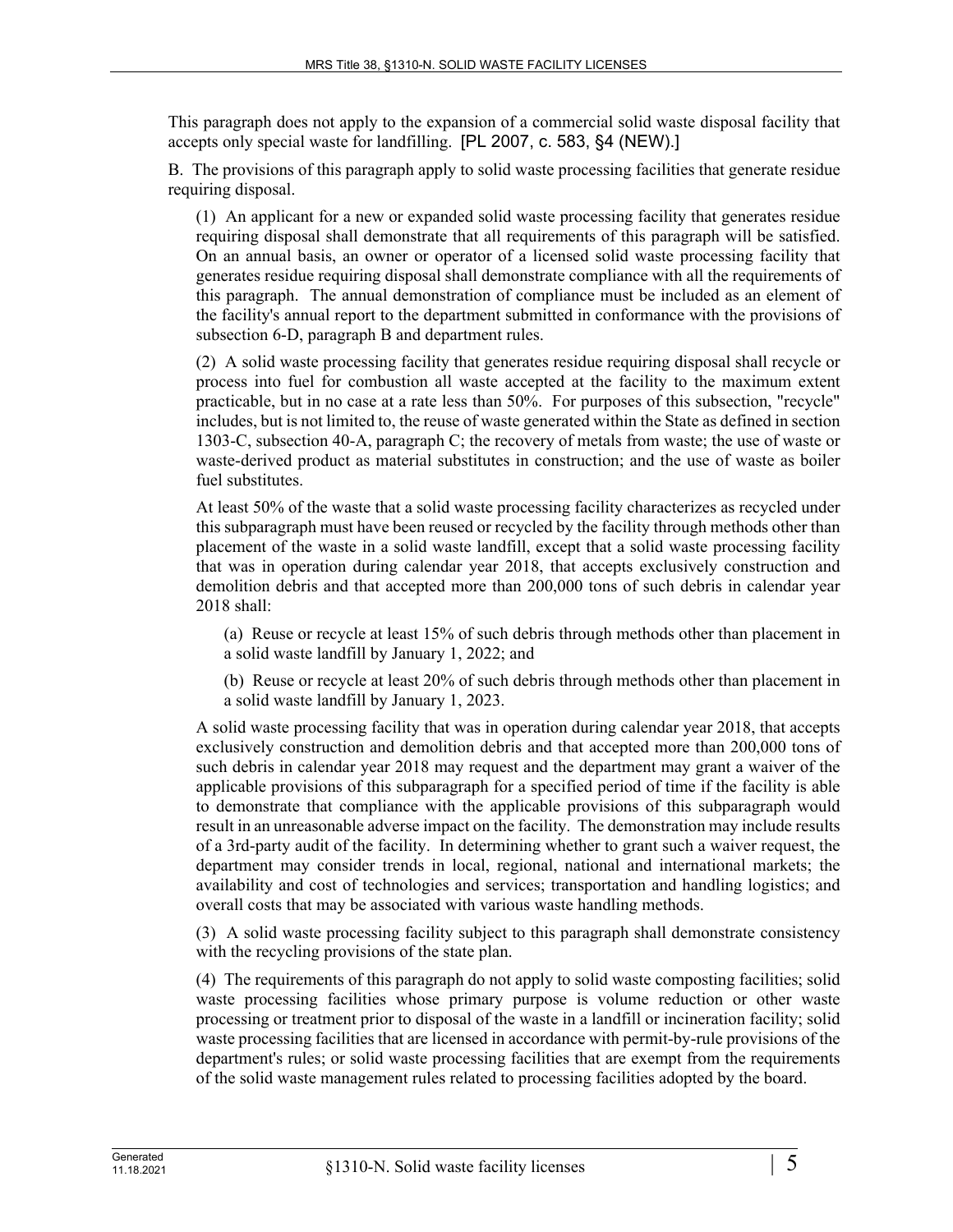This paragraph does not apply to the expansion of a commercial solid waste disposal facility that accepts only special waste for landfilling. [PL 2007, c. 583, §4 (NEW).]

B. The provisions of this paragraph apply to solid waste processing facilities that generate residue requiring disposal.

(1) An applicant for a new or expanded solid waste processing facility that generates residue requiring disposal shall demonstrate that all requirements of this paragraph will be satisfied. On an annual basis, an owner or operator of a licensed solid waste processing facility that generates residue requiring disposal shall demonstrate compliance with all the requirements of this paragraph. The annual demonstration of compliance must be included as an element of the facility's annual report to the department submitted in conformance with the provisions of subsection 6-D, paragraph B and department rules.

(2) A solid waste processing facility that generates residue requiring disposal shall recycle or process into fuel for combustion all waste accepted at the facility to the maximum extent practicable, but in no case at a rate less than 50%. For purposes of this subsection, "recycle" includes, but is not limited to, the reuse of waste generated within the State as defined in section 1303-C, subsection 40-A, paragraph C; the recovery of metals from waste; the use of waste or waste-derived product as material substitutes in construction; and the use of waste as boiler fuel substitutes.

At least 50% of the waste that a solid waste processing facility characterizes as recycled under this subparagraph must have been reused or recycled by the facility through methods other than placement of the waste in a solid waste landfill, except that a solid waste processing facility that was in operation during calendar year 2018, that accepts exclusively construction and demolition debris and that accepted more than 200,000 tons of such debris in calendar year 2018 shall:

(a) Reuse or recycle at least 15% of such debris through methods other than placement in a solid waste landfill by January 1, 2022; and

(b) Reuse or recycle at least 20% of such debris through methods other than placement in a solid waste landfill by January 1, 2023.

A solid waste processing facility that was in operation during calendar year 2018, that accepts exclusively construction and demolition debris and that accepted more than 200,000 tons of such debris in calendar year 2018 may request and the department may grant a waiver of the applicable provisions of this subparagraph for a specified period of time if the facility is able to demonstrate that compliance with the applicable provisions of this subparagraph would result in an unreasonable adverse impact on the facility. The demonstration may include results of a 3rd-party audit of the facility. In determining whether to grant such a waiver request, the department may consider trends in local, regional, national and international markets; the availability and cost of technologies and services; transportation and handling logistics; and overall costs that may be associated with various waste handling methods.

(3) A solid waste processing facility subject to this paragraph shall demonstrate consistency with the recycling provisions of the state plan.

(4) The requirements of this paragraph do not apply to solid waste composting facilities; solid waste processing facilities whose primary purpose is volume reduction or other waste processing or treatment prior to disposal of the waste in a landfill or incineration facility; solid waste processing facilities that are licensed in accordance with permit-by-rule provisions of the department's rules; or solid waste processing facilities that are exempt from the requirements of the solid waste management rules related to processing facilities adopted by the board.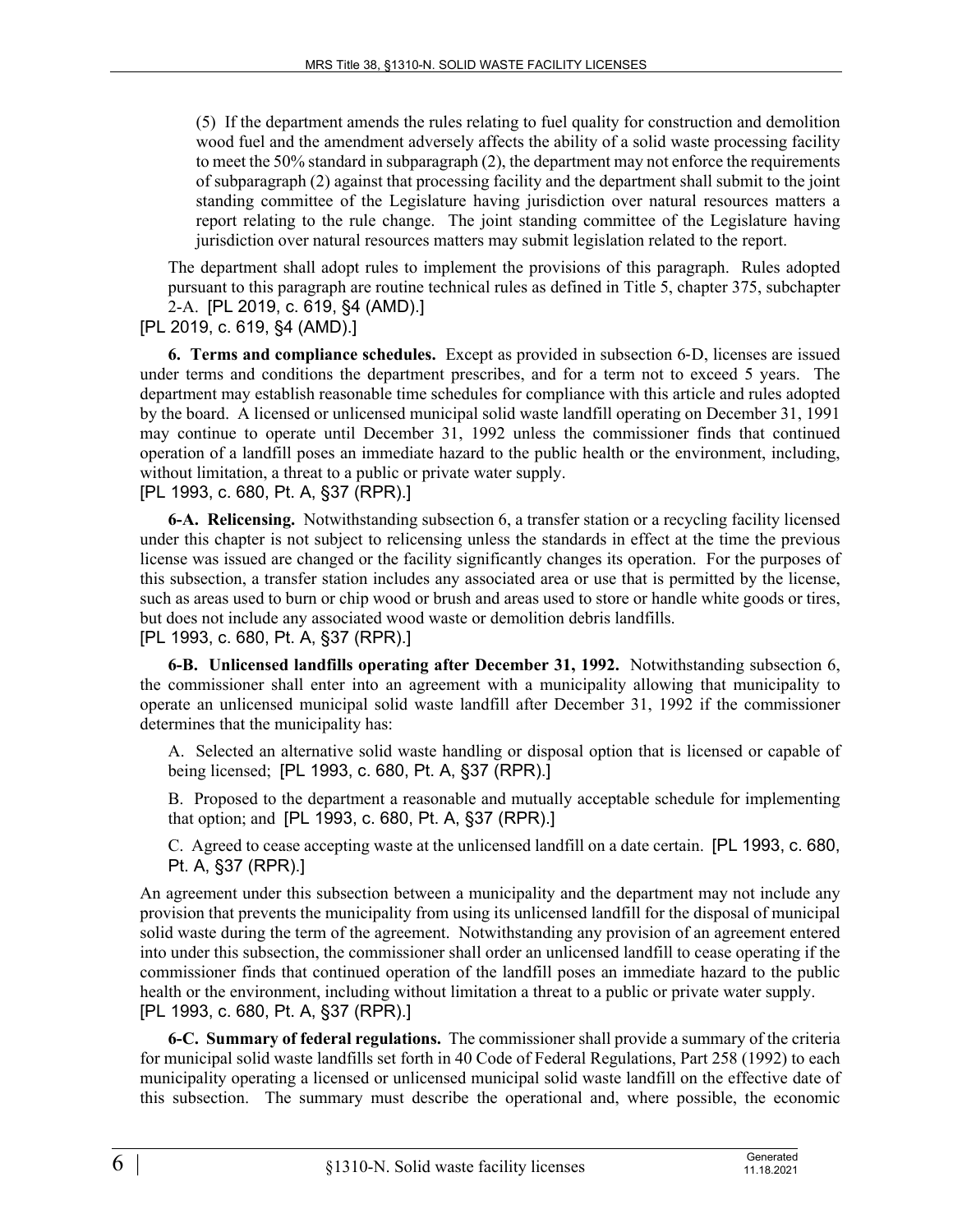(5) If the department amends the rules relating to fuel quality for construction and demolition wood fuel and the amendment adversely affects the ability of a solid waste processing facility to meet the 50% standard in subparagraph (2), the department may not enforce the requirements of subparagraph (2) against that processing facility and the department shall submit to the joint standing committee of the Legislature having jurisdiction over natural resources matters a report relating to the rule change. The joint standing committee of the Legislature having jurisdiction over natural resources matters may submit legislation related to the report.

The department shall adopt rules to implement the provisions of this paragraph. Rules adopted pursuant to this paragraph are routine technical rules as defined in Title 5, chapter 375, subchapter 2-A. [PL 2019, c. 619, §4 (AMD).]

[PL 2019, c. 619, §4 (AMD).]

**6. Terms and compliance schedules.** Except as provided in subsection 6‑D, licenses are issued under terms and conditions the department prescribes, and for a term not to exceed 5 years. The department may establish reasonable time schedules for compliance with this article and rules adopted by the board. A licensed or unlicensed municipal solid waste landfill operating on December 31, 1991 may continue to operate until December 31, 1992 unless the commissioner finds that continued operation of a landfill poses an immediate hazard to the public health or the environment, including, without limitation, a threat to a public or private water supply. [PL 1993, c. 680, Pt. A, §37 (RPR).]

**6-A. Relicensing.** Notwithstanding subsection 6, a transfer station or a recycling facility licensed under this chapter is not subject to relicensing unless the standards in effect at the time the previous license was issued are changed or the facility significantly changes its operation. For the purposes of this subsection, a transfer station includes any associated area or use that is permitted by the license, such as areas used to burn or chip wood or brush and areas used to store or handle white goods or tires, but does not include any associated wood waste or demolition debris landfills. [PL 1993, c. 680, Pt. A, §37 (RPR).]

**6-B. Unlicensed landfills operating after December 31, 1992.** Notwithstanding subsection 6, the commissioner shall enter into an agreement with a municipality allowing that municipality to operate an unlicensed municipal solid waste landfill after December 31, 1992 if the commissioner determines that the municipality has:

A. Selected an alternative solid waste handling or disposal option that is licensed or capable of being licensed; [PL 1993, c. 680, Pt. A, §37 (RPR).]

B. Proposed to the department a reasonable and mutually acceptable schedule for implementing that option; and [PL 1993, c. 680, Pt. A, §37 (RPR).]

C. Agreed to cease accepting waste at the unlicensed landfill on a date certain. [PL 1993, c. 680, Pt. A, §37 (RPR).]

An agreement under this subsection between a municipality and the department may not include any provision that prevents the municipality from using its unlicensed landfill for the disposal of municipal solid waste during the term of the agreement. Notwithstanding any provision of an agreement entered into under this subsection, the commissioner shall order an unlicensed landfill to cease operating if the commissioner finds that continued operation of the landfill poses an immediate hazard to the public health or the environment, including without limitation a threat to a public or private water supply. [PL 1993, c. 680, Pt. A, §37 (RPR).]

**6-C. Summary of federal regulations.** The commissioner shall provide a summary of the criteria for municipal solid waste landfills set forth in 40 Code of Federal Regulations, Part 258 (1992) to each municipality operating a licensed or unlicensed municipal solid waste landfill on the effective date of this subsection. The summary must describe the operational and, where possible, the economic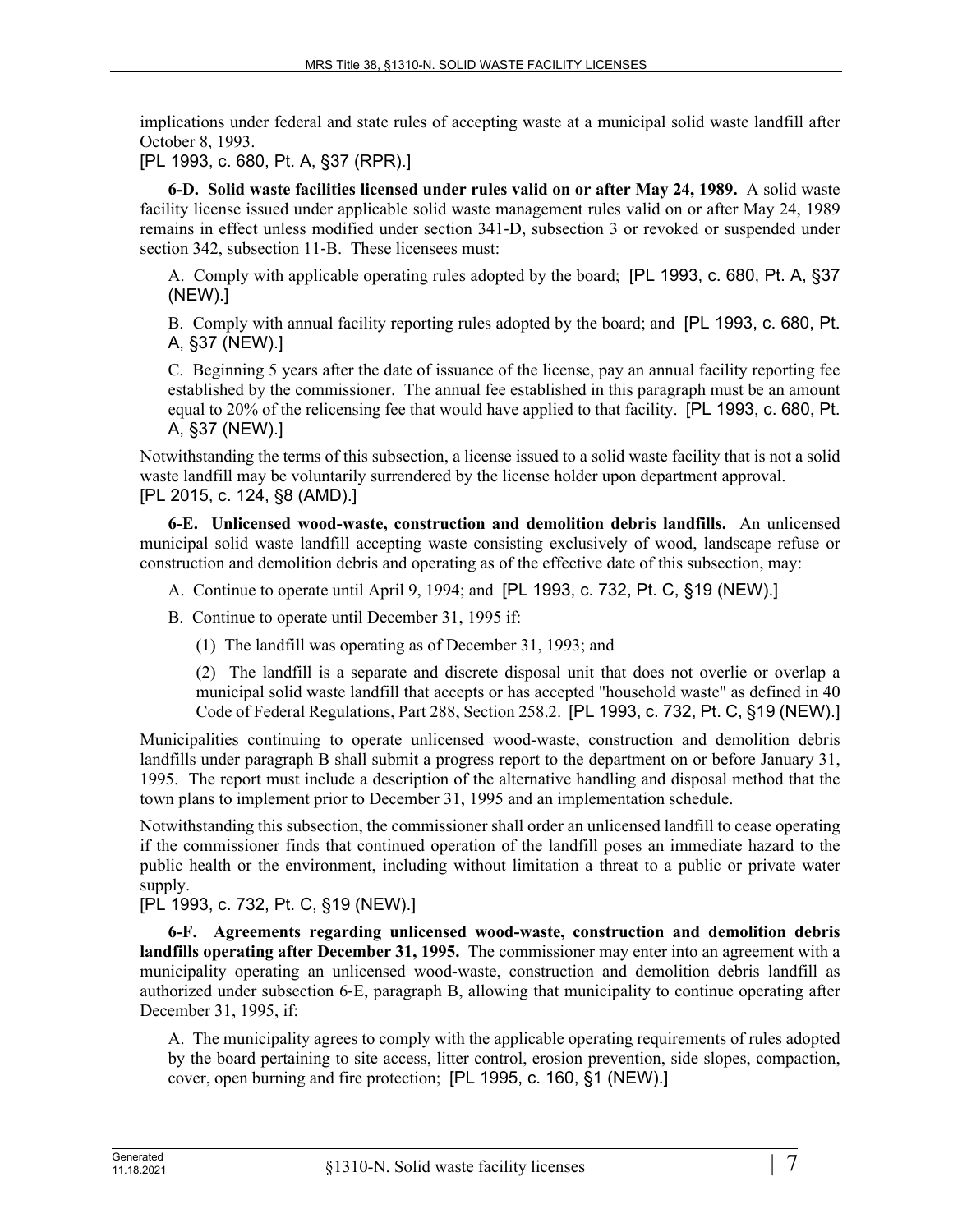implications under federal and state rules of accepting waste at a municipal solid waste landfill after October 8, 1993.

[PL 1993, c. 680, Pt. A, §37 (RPR).]

**6-D. Solid waste facilities licensed under rules valid on or after May 24, 1989.** A solid waste facility license issued under applicable solid waste management rules valid on or after May 24, 1989 remains in effect unless modified under section 341‑D, subsection 3 or revoked or suspended under section 342, subsection 11-B. These licensees must:

A. Comply with applicable operating rules adopted by the board; [PL 1993, c. 680, Pt. A, §37 (NEW).]

B. Comply with annual facility reporting rules adopted by the board; and [PL 1993, c. 680, Pt. A, §37 (NEW).]

C. Beginning 5 years after the date of issuance of the license, pay an annual facility reporting fee established by the commissioner. The annual fee established in this paragraph must be an amount equal to 20% of the relicensing fee that would have applied to that facility. [PL 1993, c. 680, Pt. A, §37 (NEW).]

Notwithstanding the terms of this subsection, a license issued to a solid waste facility that is not a solid waste landfill may be voluntarily surrendered by the license holder upon department approval. [PL 2015, c. 124, §8 (AMD).]

**6-E. Unlicensed wood-waste, construction and demolition debris landfills.** An unlicensed municipal solid waste landfill accepting waste consisting exclusively of wood, landscape refuse or construction and demolition debris and operating as of the effective date of this subsection, may:

- A. Continue to operate until April 9, 1994; and [PL 1993, c. 732, Pt. C, §19 (NEW).]
- B. Continue to operate until December 31, 1995 if:
	- (1) The landfill was operating as of December 31, 1993; and

(2) The landfill is a separate and discrete disposal unit that does not overlie or overlap a municipal solid waste landfill that accepts or has accepted "household waste" as defined in 40 Code of Federal Regulations, Part 288, Section 258.2. [PL 1993, c. 732, Pt. C, §19 (NEW).]

Municipalities continuing to operate unlicensed wood-waste, construction and demolition debris landfills under paragraph B shall submit a progress report to the department on or before January 31, 1995. The report must include a description of the alternative handling and disposal method that the town plans to implement prior to December 31, 1995 and an implementation schedule.

Notwithstanding this subsection, the commissioner shall order an unlicensed landfill to cease operating if the commissioner finds that continued operation of the landfill poses an immediate hazard to the public health or the environment, including without limitation a threat to a public or private water supply.

[PL 1993, c. 732, Pt. C, §19 (NEW).]

**6-F. Agreements regarding unlicensed wood-waste, construction and demolition debris landfills operating after December 31, 1995.** The commissioner may enter into an agreement with a municipality operating an unlicensed wood-waste, construction and demolition debris landfill as authorized under subsection 6‑E, paragraph B, allowing that municipality to continue operating after December 31, 1995, if:

A. The municipality agrees to comply with the applicable operating requirements of rules adopted by the board pertaining to site access, litter control, erosion prevention, side slopes, compaction, cover, open burning and fire protection; [PL 1995, c. 160, §1 (NEW).]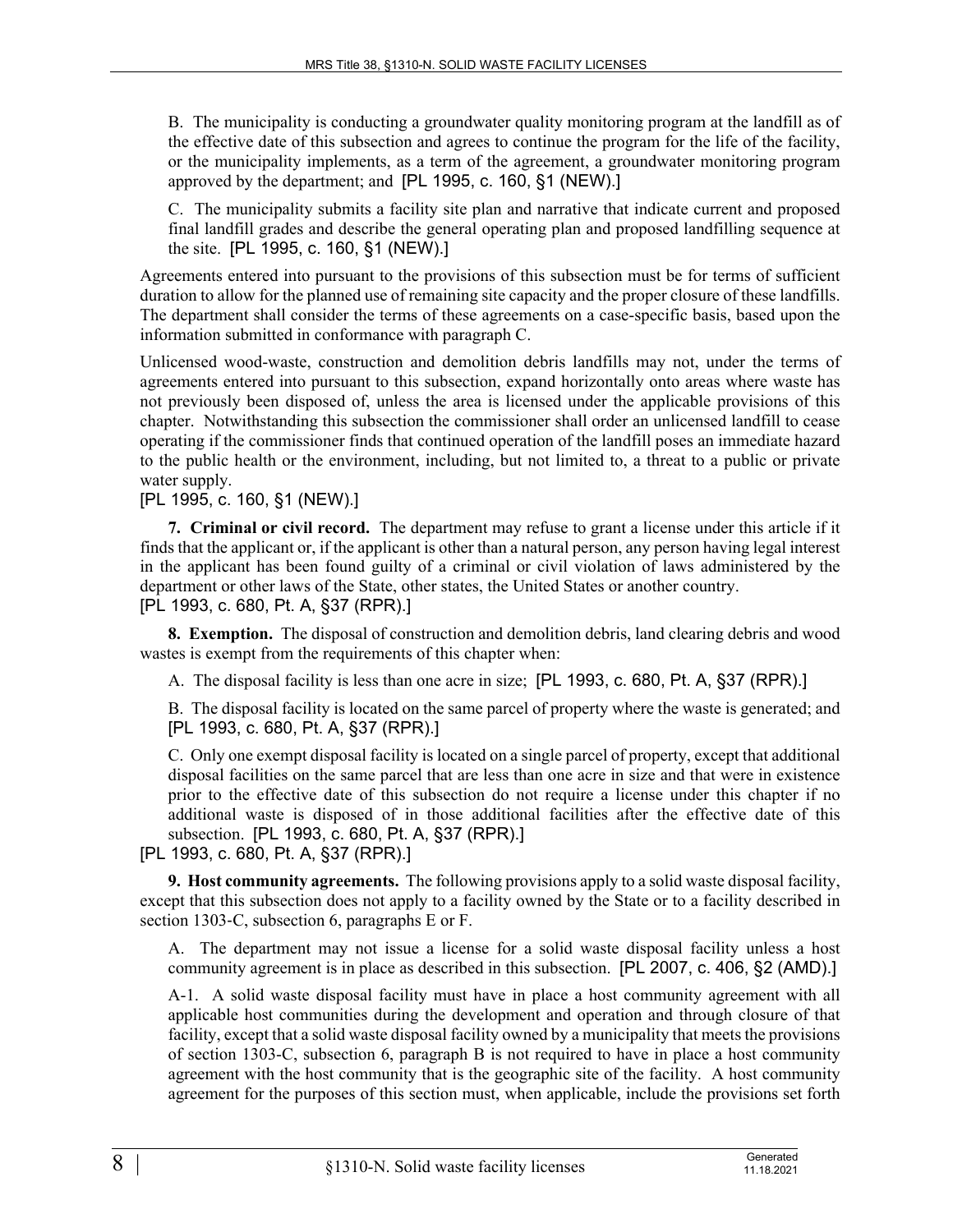B. The municipality is conducting a groundwater quality monitoring program at the landfill as of the effective date of this subsection and agrees to continue the program for the life of the facility, or the municipality implements, as a term of the agreement, a groundwater monitoring program approved by the department; and [PL 1995, c. 160, §1 (NEW).]

C. The municipality submits a facility site plan and narrative that indicate current and proposed final landfill grades and describe the general operating plan and proposed landfilling sequence at the site. [PL 1995, c. 160, §1 (NEW).]

Agreements entered into pursuant to the provisions of this subsection must be for terms of sufficient duration to allow for the planned use of remaining site capacity and the proper closure of these landfills. The department shall consider the terms of these agreements on a case-specific basis, based upon the information submitted in conformance with paragraph C.

Unlicensed wood-waste, construction and demolition debris landfills may not, under the terms of agreements entered into pursuant to this subsection, expand horizontally onto areas where waste has not previously been disposed of, unless the area is licensed under the applicable provisions of this chapter. Notwithstanding this subsection the commissioner shall order an unlicensed landfill to cease operating if the commissioner finds that continued operation of the landfill poses an immediate hazard to the public health or the environment, including, but not limited to, a threat to a public or private water supply.

[PL 1995, c. 160, §1 (NEW).]

**7. Criminal or civil record.** The department may refuse to grant a license under this article if it finds that the applicant or, if the applicant is other than a natural person, any person having legal interest in the applicant has been found guilty of a criminal or civil violation of laws administered by the department or other laws of the State, other states, the United States or another country. [PL 1993, c. 680, Pt. A, §37 (RPR).]

**8. Exemption.** The disposal of construction and demolition debris, land clearing debris and wood wastes is exempt from the requirements of this chapter when:

A. The disposal facility is less than one acre in size; [PL 1993, c. 680, Pt. A, §37 (RPR).]

B. The disposal facility is located on the same parcel of property where the waste is generated; and [PL 1993, c. 680, Pt. A, §37 (RPR).]

C. Only one exempt disposal facility is located on a single parcel of property, except that additional disposal facilities on the same parcel that are less than one acre in size and that were in existence prior to the effective date of this subsection do not require a license under this chapter if no additional waste is disposed of in those additional facilities after the effective date of this subsection. [PL 1993, c. 680, Pt. A, §37 (RPR).]

[PL 1993, c. 680, Pt. A, §37 (RPR).]

**9. Host community agreements.** The following provisions apply to a solid waste disposal facility, except that this subsection does not apply to a facility owned by the State or to a facility described in section 1303–C, subsection 6, paragraphs E or F.

A. The department may not issue a license for a solid waste disposal facility unless a host community agreement is in place as described in this subsection. [PL 2007, c. 406, §2 (AMD).]

A-1. A solid waste disposal facility must have in place a host community agreement with all applicable host communities during the development and operation and through closure of that facility, except that a solid waste disposal facility owned by a municipality that meets the provisions of section 1303-C, subsection 6, paragraph B is not required to have in place a host community agreement with the host community that is the geographic site of the facility. A host community agreement for the purposes of this section must, when applicable, include the provisions set forth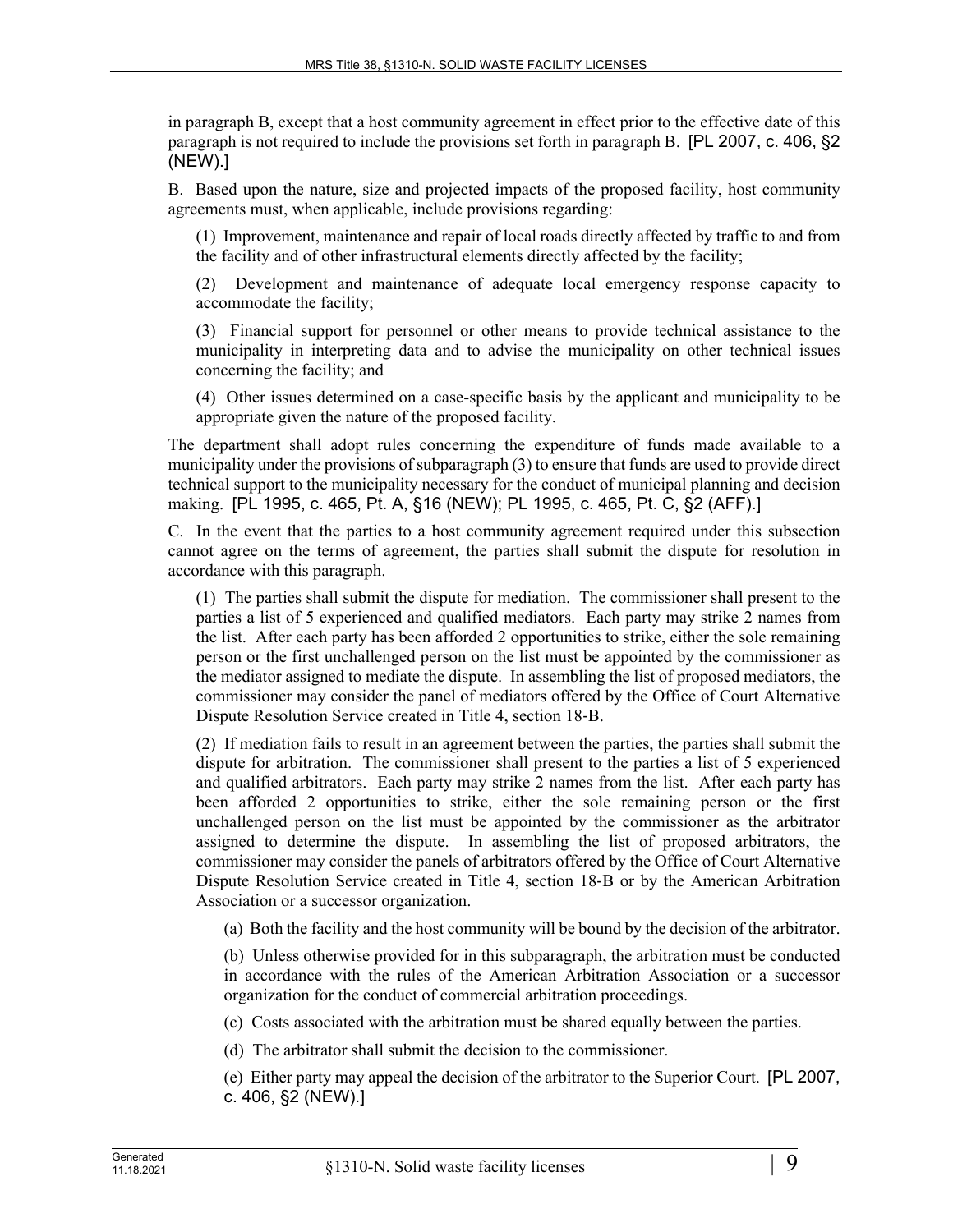in paragraph B, except that a host community agreement in effect prior to the effective date of this paragraph is not required to include the provisions set forth in paragraph B. [PL 2007, c. 406, §2 (NEW).]

B. Based upon the nature, size and projected impacts of the proposed facility, host community agreements must, when applicable, include provisions regarding:

(1) Improvement, maintenance and repair of local roads directly affected by traffic to and from the facility and of other infrastructural elements directly affected by the facility;

(2) Development and maintenance of adequate local emergency response capacity to accommodate the facility;

(3) Financial support for personnel or other means to provide technical assistance to the municipality in interpreting data and to advise the municipality on other technical issues concerning the facility; and

(4) Other issues determined on a case-specific basis by the applicant and municipality to be appropriate given the nature of the proposed facility.

The department shall adopt rules concerning the expenditure of funds made available to a municipality under the provisions of subparagraph (3) to ensure that funds are used to provide direct technical support to the municipality necessary for the conduct of municipal planning and decision making. [PL 1995, c. 465, Pt. A, §16 (NEW); PL 1995, c. 465, Pt. C, §2 (AFF).]

C. In the event that the parties to a host community agreement required under this subsection cannot agree on the terms of agreement, the parties shall submit the dispute for resolution in accordance with this paragraph.

(1) The parties shall submit the dispute for mediation. The commissioner shall present to the parties a list of 5 experienced and qualified mediators. Each party may strike 2 names from the list. After each party has been afforded 2 opportunities to strike, either the sole remaining person or the first unchallenged person on the list must be appointed by the commissioner as the mediator assigned to mediate the dispute. In assembling the list of proposed mediators, the commissioner may consider the panel of mediators offered by the Office of Court Alternative Dispute Resolution Service created in Title 4, section 18‑B.

(2) If mediation fails to result in an agreement between the parties, the parties shall submit the dispute for arbitration. The commissioner shall present to the parties a list of 5 experienced and qualified arbitrators. Each party may strike 2 names from the list. After each party has been afforded 2 opportunities to strike, either the sole remaining person or the first unchallenged person on the list must be appointed by the commissioner as the arbitrator assigned to determine the dispute. In assembling the list of proposed arbitrators, the commissioner may consider the panels of arbitrators offered by the Office of Court Alternative Dispute Resolution Service created in Title 4, section 18‑B or by the American Arbitration Association or a successor organization.

(a) Both the facility and the host community will be bound by the decision of the arbitrator.

(b) Unless otherwise provided for in this subparagraph, the arbitration must be conducted in accordance with the rules of the American Arbitration Association or a successor organization for the conduct of commercial arbitration proceedings.

(c) Costs associated with the arbitration must be shared equally between the parties.

(d) The arbitrator shall submit the decision to the commissioner.

(e) Either party may appeal the decision of the arbitrator to the Superior Court. [PL 2007, c. 406, §2 (NEW).]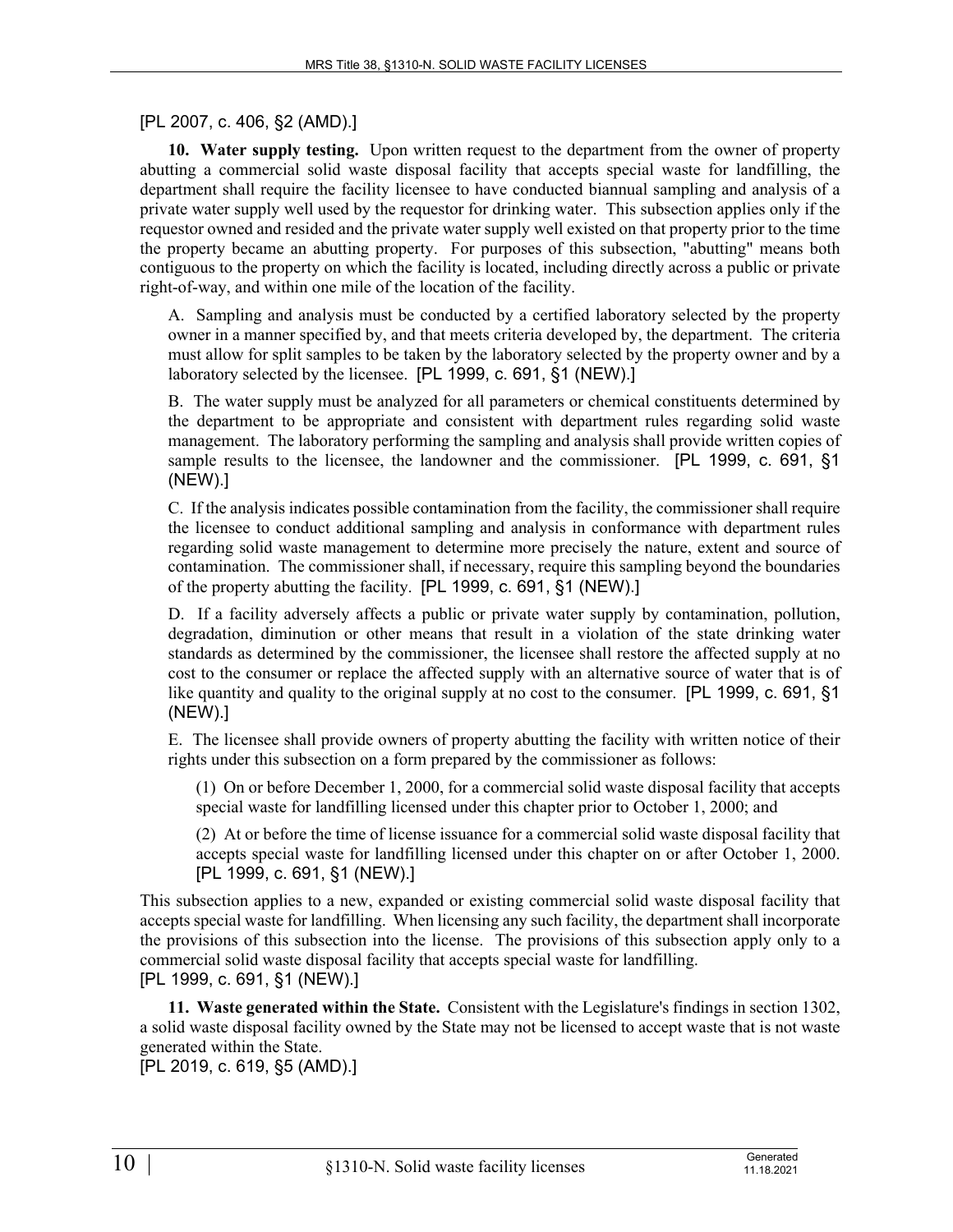## [PL 2007, c. 406, §2 (AMD).]

**10. Water supply testing.** Upon written request to the department from the owner of property abutting a commercial solid waste disposal facility that accepts special waste for landfilling, the department shall require the facility licensee to have conducted biannual sampling and analysis of a private water supply well used by the requestor for drinking water. This subsection applies only if the requestor owned and resided and the private water supply well existed on that property prior to the time the property became an abutting property. For purposes of this subsection, "abutting" means both contiguous to the property on which the facility is located, including directly across a public or private right-of-way, and within one mile of the location of the facility.

A. Sampling and analysis must be conducted by a certified laboratory selected by the property owner in a manner specified by, and that meets criteria developed by, the department. The criteria must allow for split samples to be taken by the laboratory selected by the property owner and by a laboratory selected by the licensee. [PL 1999, c. 691, §1 (NEW).]

B. The water supply must be analyzed for all parameters or chemical constituents determined by the department to be appropriate and consistent with department rules regarding solid waste management. The laboratory performing the sampling and analysis shall provide written copies of sample results to the licensee, the landowner and the commissioner. [PL 1999, c. 691, §1 (NEW).]

C. If the analysis indicates possible contamination from the facility, the commissioner shall require the licensee to conduct additional sampling and analysis in conformance with department rules regarding solid waste management to determine more precisely the nature, extent and source of contamination. The commissioner shall, if necessary, require this sampling beyond the boundaries of the property abutting the facility. [PL 1999, c. 691, §1 (NEW).]

D. If a facility adversely affects a public or private water supply by contamination, pollution, degradation, diminution or other means that result in a violation of the state drinking water standards as determined by the commissioner, the licensee shall restore the affected supply at no cost to the consumer or replace the affected supply with an alternative source of water that is of like quantity and quality to the original supply at no cost to the consumer. [PL 1999, c. 691, §1 (NEW).]

E. The licensee shall provide owners of property abutting the facility with written notice of their rights under this subsection on a form prepared by the commissioner as follows:

(1) On or before December 1, 2000, for a commercial solid waste disposal facility that accepts special waste for landfilling licensed under this chapter prior to October 1, 2000; and

(2) At or before the time of license issuance for a commercial solid waste disposal facility that accepts special waste for landfilling licensed under this chapter on or after October 1, 2000. [PL 1999, c. 691, §1 (NEW).]

This subsection applies to a new, expanded or existing commercial solid waste disposal facility that accepts special waste for landfilling. When licensing any such facility, the department shall incorporate the provisions of this subsection into the license. The provisions of this subsection apply only to a commercial solid waste disposal facility that accepts special waste for landfilling. [PL 1999, c. 691, §1 (NEW).]

**11. Waste generated within the State.** Consistent with the Legislature's findings in section 1302, a solid waste disposal facility owned by the State may not be licensed to accept waste that is not waste generated within the State.

[PL 2019, c. 619, §5 (AMD).]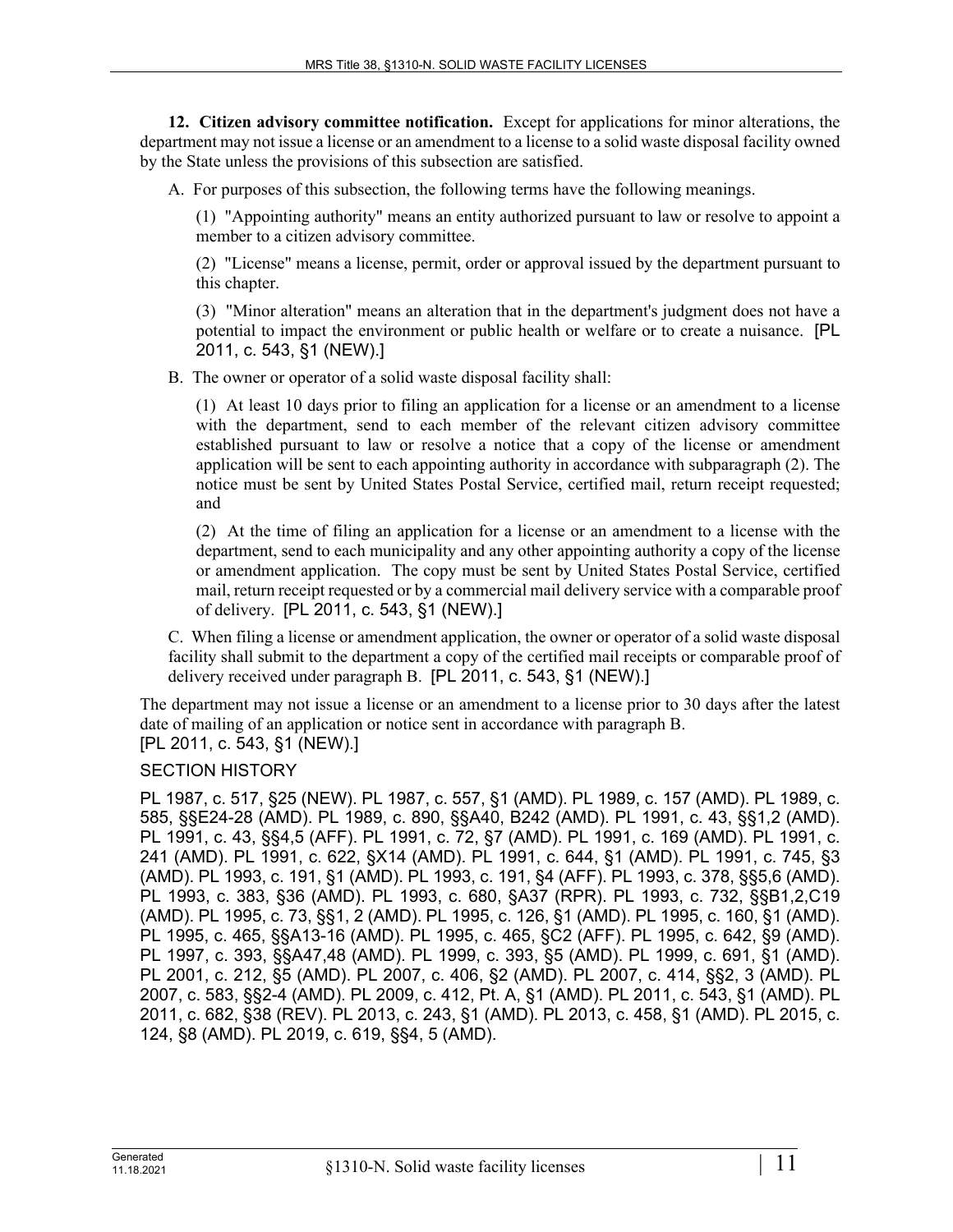**12. Citizen advisory committee notification.** Except for applications for minor alterations, the department may not issue a license or an amendment to a license to a solid waste disposal facility owned by the State unless the provisions of this subsection are satisfied.

A. For purposes of this subsection, the following terms have the following meanings.

(1) "Appointing authority" means an entity authorized pursuant to law or resolve to appoint a member to a citizen advisory committee.

(2) "License" means a license, permit, order or approval issued by the department pursuant to this chapter.

(3) "Minor alteration" means an alteration that in the department's judgment does not have a potential to impact the environment or public health or welfare or to create a nuisance. [PL 2011, c. 543, §1 (NEW).]

B. The owner or operator of a solid waste disposal facility shall:

(1) At least 10 days prior to filing an application for a license or an amendment to a license with the department, send to each member of the relevant citizen advisory committee established pursuant to law or resolve a notice that a copy of the license or amendment application will be sent to each appointing authority in accordance with subparagraph (2). The notice must be sent by United States Postal Service, certified mail, return receipt requested; and

(2) At the time of filing an application for a license or an amendment to a license with the department, send to each municipality and any other appointing authority a copy of the license or amendment application. The copy must be sent by United States Postal Service, certified mail, return receipt requested or by a commercial mail delivery service with a comparable proof of delivery. [PL 2011, c. 543, §1 (NEW).]

C. When filing a license or amendment application, the owner or operator of a solid waste disposal facility shall submit to the department a copy of the certified mail receipts or comparable proof of delivery received under paragraph B. [PL 2011, c. 543, §1 (NEW).]

The department may not issue a license or an amendment to a license prior to 30 days after the latest date of mailing of an application or notice sent in accordance with paragraph B. [PL 2011, c. 543, §1 (NEW).]

# SECTION HISTORY

PL 1987, c. 517, §25 (NEW). PL 1987, c. 557, §1 (AMD). PL 1989, c. 157 (AMD). PL 1989, c. 585, §§E24-28 (AMD). PL 1989, c. 890, §§A40, B242 (AMD). PL 1991, c. 43, §§1,2 (AMD). PL 1991, c. 43, §§4,5 (AFF). PL 1991, c. 72, §7 (AMD). PL 1991, c. 169 (AMD). PL 1991, c. 241 (AMD). PL 1991, c. 622, §X14 (AMD). PL 1991, c. 644, §1 (AMD). PL 1991, c. 745, §3 (AMD). PL 1993, c. 191, §1 (AMD). PL 1993, c. 191, §4 (AFF). PL 1993, c. 378, §§5,6 (AMD). PL 1993, c. 383, §36 (AMD). PL 1993, c. 680, §A37 (RPR). PL 1993, c. 732, §§B1,2,C19 (AMD). PL 1995, c. 73, §§1, 2 (AMD). PL 1995, c. 126, §1 (AMD). PL 1995, c. 160, §1 (AMD). PL 1995, c. 465, §§A13-16 (AMD). PL 1995, c. 465, §C2 (AFF). PL 1995, c. 642, §9 (AMD). PL 1997, c. 393, §§A47,48 (AMD). PL 1999, c. 393, §5 (AMD). PL 1999, c. 691, §1 (AMD). PL 2001, c. 212, §5 (AMD). PL 2007, c. 406, §2 (AMD). PL 2007, c. 414, §§2, 3 (AMD). PL 2007, c. 583, §§2-4 (AMD). PL 2009, c. 412, Pt. A, §1 (AMD). PL 2011, c. 543, §1 (AMD). PL 2011, c. 682, §38 (REV). PL 2013, c. 243, §1 (AMD). PL 2013, c. 458, §1 (AMD). PL 2015, c. 124, §8 (AMD). PL 2019, c. 619, §§4, 5 (AMD).